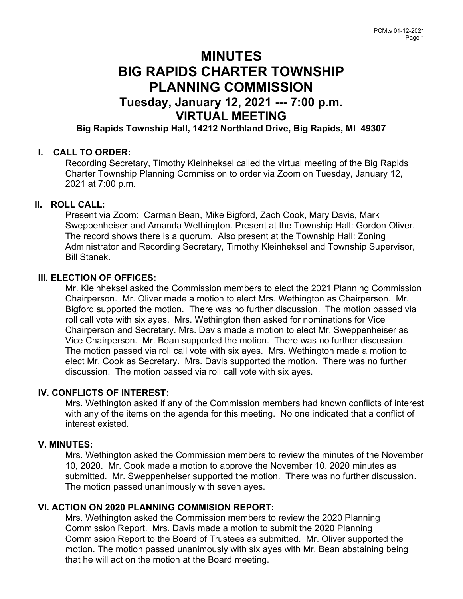# **MINUTES** BIG RAPIDS CHARTER TOWNSHIP PLANNING COMMISSION

# Tuesday, January 12, 2021 --- 7:00 p.m. VIRTUAL MEETING

Big Rapids Township Hall, 14212 Northland Drive, Big Rapids, MI 49307

#### I. CALL TO ORDER:

Recording Secretary, Timothy Kleinheksel called the virtual meeting of the Big Rapids Charter Township Planning Commission to order via Zoom on Tuesday, January 12, 2021 at 7:00 p.m.

#### II. ROLL CALL:

Present via Zoom: Carman Bean, Mike Bigford, Zach Cook, Mary Davis, Mark Sweppenheiser and Amanda Wethington. Present at the Township Hall: Gordon Oliver. The record shows there is a quorum. Also present at the Township Hall: Zoning Administrator and Recording Secretary, Timothy Kleinheksel and Township Supervisor, Bill Stanek.

#### III. ELECTION OF OFFICES:

Mr. Kleinheksel asked the Commission members to elect the 2021 Planning Commission Chairperson. Mr. Oliver made a motion to elect Mrs. Wethington as Chairperson. Mr. Bigford supported the motion. There was no further discussion. The motion passed via roll call vote with six ayes. Mrs. Wethington then asked for nominations for Vice Chairperson and Secretary. Mrs. Davis made a motion to elect Mr. Sweppenheiser as Vice Chairperson. Mr. Bean supported the motion. There was no further discussion. The motion passed via roll call vote with six ayes. Mrs. Wethington made a motion to elect Mr. Cook as Secretary. Mrs. Davis supported the motion. There was no further discussion. The motion passed via roll call vote with six ayes.

#### IV. CONFLICTS OF INTEREST:

Mrs. Wethington asked if any of the Commission members had known conflicts of interest with any of the items on the agenda for this meeting. No one indicated that a conflict of interest existed.

#### V. MINUTES:

Mrs. Wethington asked the Commission members to review the minutes of the November 10, 2020. Mr. Cook made a motion to approve the November 10, 2020 minutes as submitted. Mr. Sweppenheiser supported the motion. There was no further discussion. The motion passed unanimously with seven ayes.

#### VI. ACTION ON 2020 PLANNING COMMISION REPORT:

Mrs. Wethington asked the Commission members to review the 2020 Planning Commission Report. Mrs. Davis made a motion to submit the 2020 Planning Commission Report to the Board of Trustees as submitted. Mr. Oliver supported the motion. The motion passed unanimously with six ayes with Mr. Bean abstaining being that he will act on the motion at the Board meeting.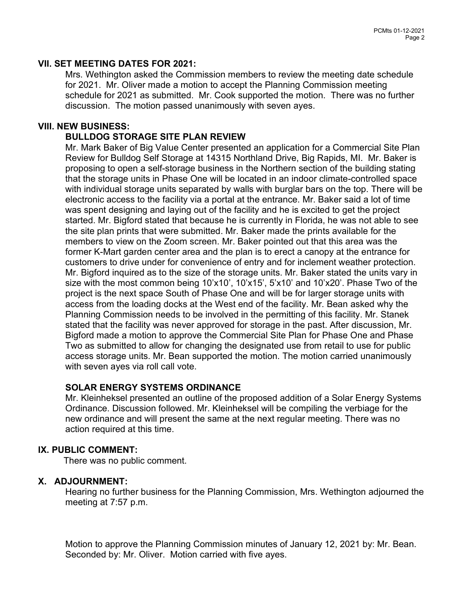#### VII. SET MEETING DATES FOR 2021:

Mrs. Wethington asked the Commission members to review the meeting date schedule for 2021. Mr. Oliver made a motion to accept the Planning Commission meeting schedule for 2021 as submitted. Mr. Cook supported the motion. There was no further discussion. The motion passed unanimously with seven ayes.

#### VIII. NEW BUSINESS:

#### BULLDOG STORAGE SITE PLAN REVIEW

Mr. Mark Baker of Big Value Center presented an application for a Commercial Site Plan Review for Bulldog Self Storage at 14315 Northland Drive, Big Rapids, MI. Mr. Baker is proposing to open a self-storage business in the Northern section of the building stating that the storage units in Phase One will be located in an indoor climate-controlled space with individual storage units separated by walls with burglar bars on the top. There will be electronic access to the facility via a portal at the entrance. Mr. Baker said a lot of time was spent designing and laying out of the facility and he is excited to get the project started. Mr. Bigford stated that because he is currently in Florida, he was not able to see the site plan prints that were submitted. Mr. Baker made the prints available for the members to view on the Zoom screen. Mr. Baker pointed out that this area was the former K-Mart garden center area and the plan is to erect a canopy at the entrance for customers to drive under for convenience of entry and for inclement weather protection. Mr. Bigford inquired as to the size of the storage units. Mr. Baker stated the units vary in size with the most common being 10'x10', 10'x15', 5'x10' and 10'x20'. Phase Two of the project is the next space South of Phase One and will be for larger storage units with access from the loading docks at the West end of the facility. Mr. Bean asked why the Planning Commission needs to be involved in the permitting of this facility. Mr. Stanek stated that the facility was never approved for storage in the past. After discussion, Mr. Bigford made a motion to approve the Commercial Site Plan for Phase One and Phase Two as submitted to allow for changing the designated use from retail to use for public access storage units. Mr. Bean supported the motion. The motion carried unanimously with seven ayes via roll call vote.

## SOLAR ENERGY SYSTEMS ORDINANCE

Mr. Kleinheksel presented an outline of the proposed addition of a Solar Energy Systems Ordinance. Discussion followed. Mr. Kleinheksel will be compiling the verbiage for the new ordinance and will present the same at the next regular meeting. There was no action required at this time.

#### IX. PUBLIC COMMENT:

There was no public comment.

## X. ADJOURNMENT:

Hearing no further business for the Planning Commission, Mrs. Wethington adjourned the meeting at 7:57 p.m.

Motion to approve the Planning Commission minutes of January 12, 2021 by: Mr. Bean. Seconded by: Mr. Oliver. Motion carried with five ayes.